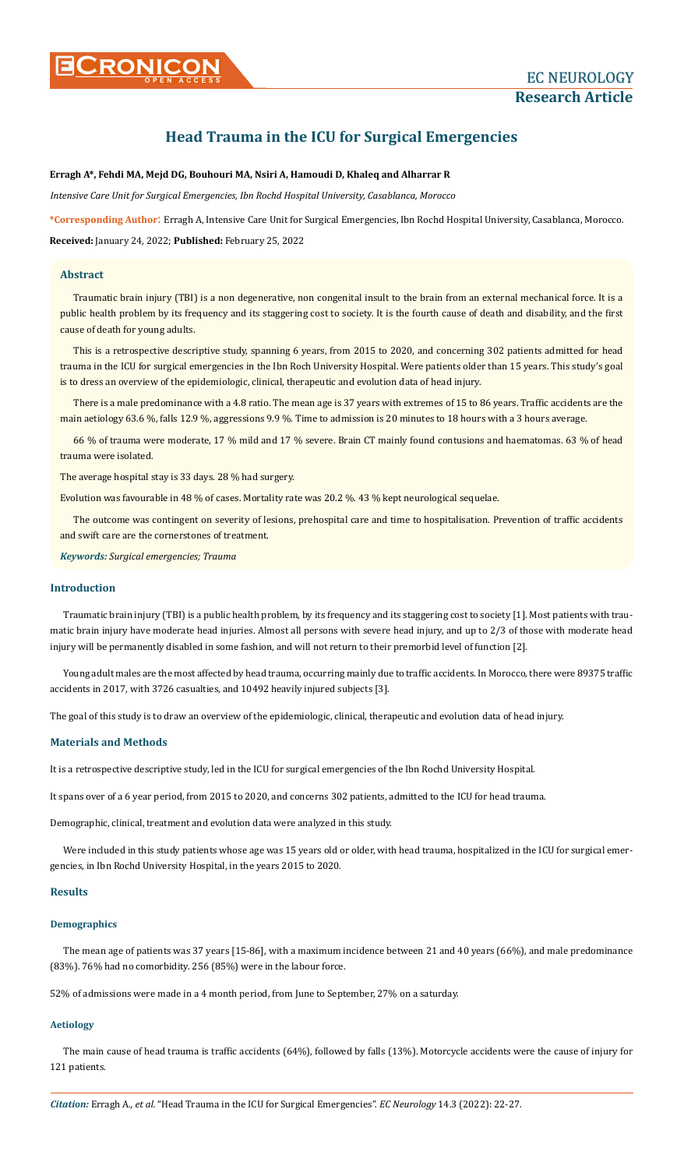# **Head Trauma in the ICU for Surgical Emergencies**

# **Erragh A\*, Fehdi MA, Mejd DG, Bouhouri MA, Nsiri A, Hamoudi D, Khaleq and Alharrar R**

*Intensive Care Unit for Surgical Emergencies, Ibn Rochd Hospital University, Casablanca, Morocco*

**\*Corresponding Author**: Erragh A, Intensive Care Unit for Surgical Emergencies, Ibn Rochd Hospital University, Casablanca, Morocco. **Received:** January 24, 2022; **Published:** February 25, 2022

# **Abstract**

Traumatic brain injury (TBI) is a non degenerative, non congenital insult to the brain from an external mechanical force. It is a public health problem by its frequency and its staggering cost to society. It is the fourth cause of death and disability, and the first cause of death for young adults.

This is a retrospective descriptive study, spanning 6 years, from 2015 to 2020, and concerning 302 patients admitted for head trauma in the ICU for surgical emergencies in the Ibn Roch University Hospital. Were patients older than 15 years. This study's goal is to dress an overview of the epidemiologic, clinical, therapeutic and evolution data of head injury.

There is a male predominance with a 4.8 ratio. The mean age is 37 years with extremes of 15 to 86 years. Traffic accidents are the main aetiology 63.6 %, falls 12.9 %, aggressions 9.9 %. Time to admission is 20 minutes to 18 hours with a 3 hours average.

66 % of trauma were moderate, 17 % mild and 17 % severe. Brain CT mainly found contusions and haematomas. 63 % of head trauma were isolated.

The average hospital stay is 33 days. 28 % had surgery.

Evolution was favourable in 48 % of cases. Mortality rate was 20.2 %. 43 % kept neurological sequelae.

The outcome was contingent on severity of lesions, prehospital care and time to hospitalisation. Prevention of traffic accidents and swift care are the cornerstones of treatment.

*Keywords: Surgical emergencies; Trauma*

# **Introduction**

Traumatic brain injury (TBI) is a public health problem, by its frequency and its staggering cost to society [1]. Most patients with traumatic brain injury have moderate head injuries. Almost all persons with severe head injury, and up to 2/3 of those with moderate head injury will be permanently disabled in some fashion, and will not return to their premorbid level of function [2].

Young adult males are the most affected by head trauma, occurring mainly due to traffic accidents. In Morocco, there were 89375 traffic accidents in 2017, with 3726 casualties, and 10492 heavily injured subjects [3].

The goal of this study is to draw an overview of the epidemiologic, clinical, therapeutic and evolution data of head injury.

## **Materials and Methods**

It is a retrospective descriptive study, led in the ICU for surgical emergencies of the Ibn Rochd University Hospital.

It spans over of a 6 year period, from 2015 to 2020, and concerns 302 patients, admitted to the ICU for head trauma.

Demographic, clinical, treatment and evolution data were analyzed in this study.

Were included in this study patients whose age was 15 years old or older, with head trauma, hospitalized in the ICU for surgical emergencies, in Ibn Rochd University Hospital, in the years 2015 to 2020.

# **Results**

# **Demographics**

The mean age of patients was 37 years [15-86], with a maximum incidence between 21 and 40 years (66%), and male predominance (83%). 76% had no comorbidity. 256 (85%) were in the labour force.

52% of admissions were made in a 4 month period, from June to September, 27% on a saturday.

# **Aetiology**

The main cause of head trauma is traffic accidents (64%), followed by falls (13%). Motorcycle accidents were the cause of injury for 121 patients.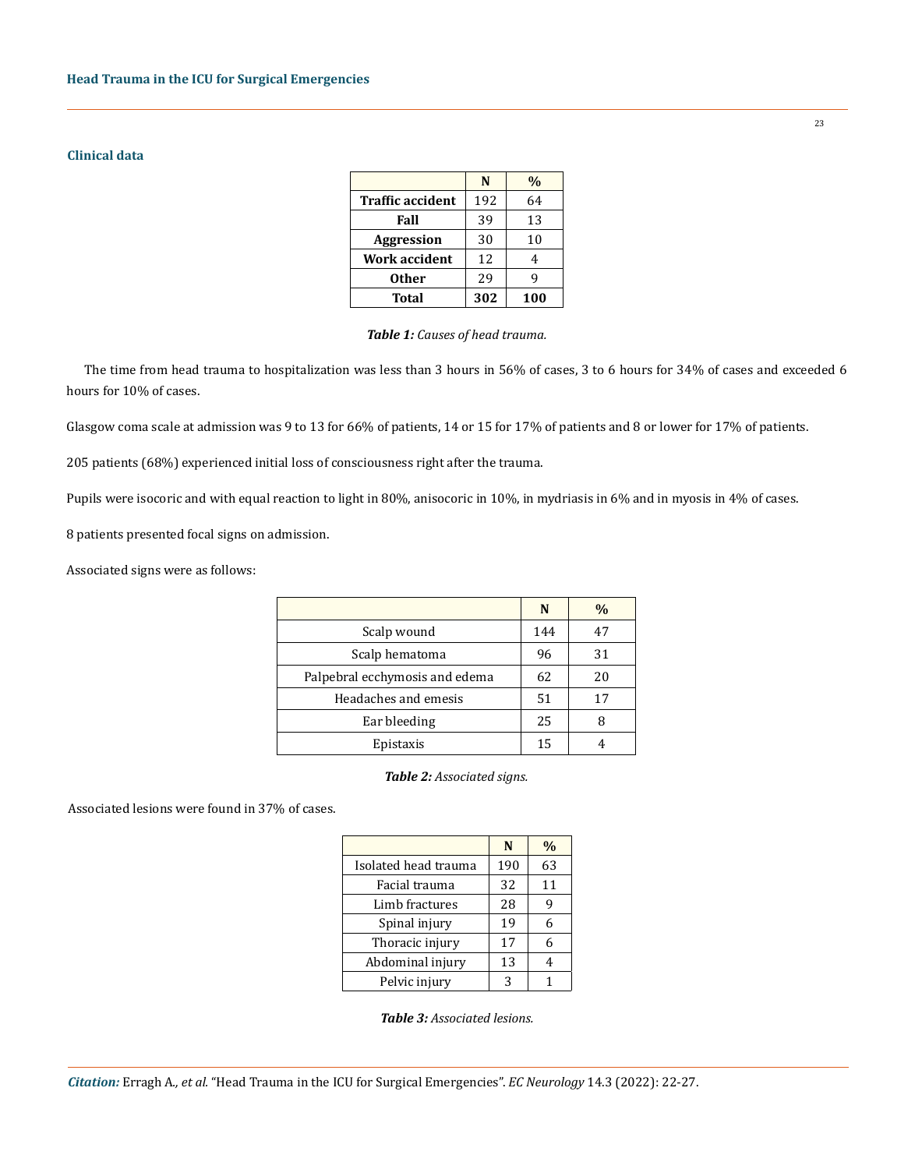# **Clinical data**

|                         | N   | $\frac{0}{0}$ |
|-------------------------|-----|---------------|
| <b>Traffic accident</b> | 192 | 64            |
| Fall                    | 39  | 13            |
| <b>Aggression</b>       | 30  | 10            |
| <b>Work accident</b>    | 12  | 4             |
| <b>Other</b>            | 29  | q             |
| <b>Total</b>            | 302 | 100           |

#### *Table 1: Causes of head trauma.*

The time from head trauma to hospitalization was less than 3 hours in 56% of cases, 3 to 6 hours for 34% of cases and exceeded 6 hours for 10% of cases.

Glasgow coma scale at admission was 9 to 13 for 66% of patients, 14 or 15 for 17% of patients and 8 or lower for 17% of patients.

205 patients (68%) experienced initial loss of consciousness right after the trauma.

Pupils were isocoric and with equal reaction to light in 80%, anisocoric in 10%, in mydriasis in 6% and in myosis in 4% of cases.

8 patients presented focal signs on admission.

Associated signs were as follows:

|                                | N   | %  |
|--------------------------------|-----|----|
| Scalp wound                    | 144 | 47 |
| Scalp hematoma                 | 96  | 31 |
| Palpebral ecchymosis and edema | 62  | 20 |
| Headaches and emesis           | 51  | 17 |
| Ear bleeding                   | 25  |    |
| Epistaxis                      | 15  |    |

*Table 2: Associated signs.*

Associated lesions were found in 37% of cases.

|                      | N   | %  |
|----------------------|-----|----|
| Isolated head trauma | 190 | 63 |
| Facial trauma        | 32  | 11 |
| Limb fractures       | 28  | g  |
| Spinal injury        | 19  | 6  |
| Thoracic injury      | 17  | 6  |
| Abdominal injury     | 13  | 4  |
| Pelvic injury        | 3   |    |

23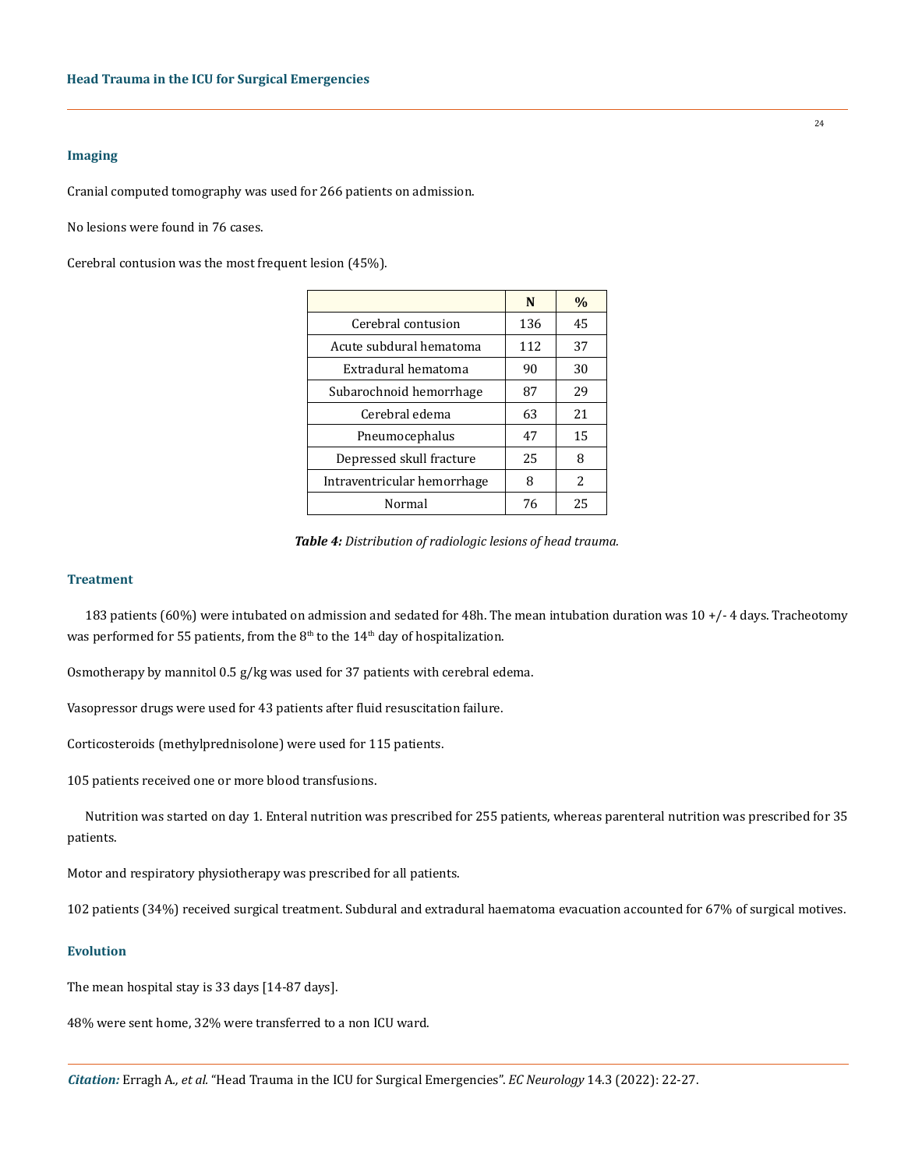## **Imaging**

Cranial computed tomography was used for 266 patients on admission.

No lesions were found in 76 cases.

Cerebral contusion was the most frequent lesion (45%).

|                             | N   | $\%$ |
|-----------------------------|-----|------|
| Cerebral contusion          | 136 | 45   |
| Acute subdural hematoma     | 112 | 37   |
| Extradural hematoma         | 90  | 30   |
| Subarochnoid hemorrhage     | 87  | 29   |
| Cerebral edema              | 63  | 21   |
| Pneumocephalus              | 47  | 15   |
| Depressed skull fracture    | 25  | 8    |
| Intraventricular hemorrhage | 8   | 2    |
| Normal                      | 76  | 25   |

*Table 4: Distribution of radiologic lesions of head trauma.*

#### **Treatment**

183 patients (60%) were intubated on admission and sedated for 48h. The mean intubation duration was 10 +/- 4 days. Tracheotomy was performed for 55 patients, from the  $8<sup>th</sup>$  to the  $14<sup>th</sup>$  day of hospitalization.

Osmotherapy by mannitol 0.5 g/kg was used for 37 patients with cerebral edema.

Vasopressor drugs were used for 43 patients after fluid resuscitation failure.

Corticosteroids (methylprednisolone) were used for 115 patients.

105 patients received one or more blood transfusions.

Nutrition was started on day 1. Enteral nutrition was prescribed for 255 patients, whereas parenteral nutrition was prescribed for 35 patients.

Motor and respiratory physiotherapy was prescribed for all patients.

102 patients (34%) received surgical treatment. Subdural and extradural haematoma evacuation accounted for 67% of surgical motives.

#### **Evolution**

The mean hospital stay is 33 days [14-87 days].

48% were sent home, 32% were transferred to a non ICU ward.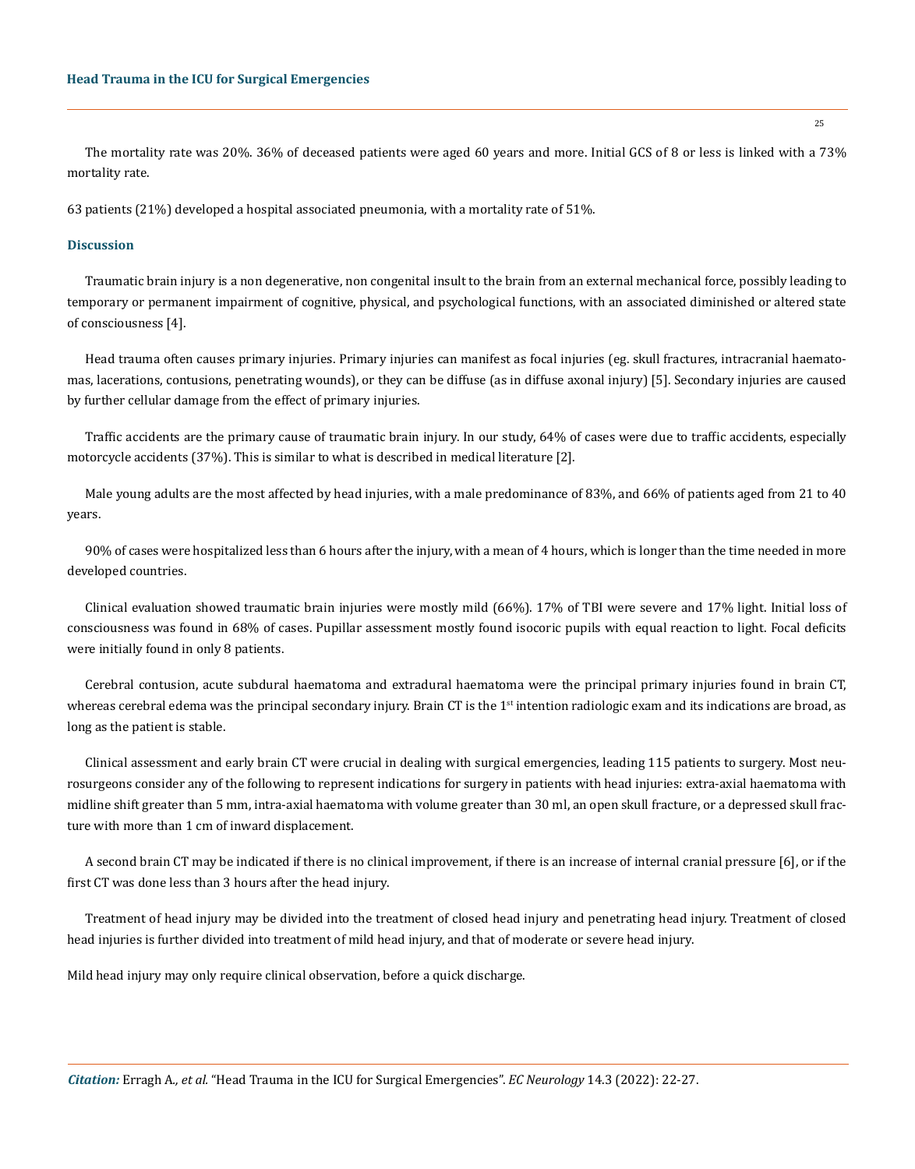The mortality rate was 20%. 36% of deceased patients were aged 60 years and more. Initial GCS of 8 or less is linked with a 73% mortality rate.

63 patients (21%) developed a hospital associated pneumonia, with a mortality rate of 51%.

#### **Discussion**

Traumatic brain injury is a non degenerative, non congenital insult to the brain from an external mechanical force, possibly leading to temporary or permanent impairment of cognitive, physical, and psychological functions, with an associated diminished or altered state of consciousness [4].

Head trauma often causes primary injuries. Primary injuries can manifest as focal injuries (eg. skull fractures, intracranial haematomas, lacerations, contusions, penetrating wounds), or they can be diffuse (as in diffuse axonal injury) [5]. Secondary injuries are caused by further cellular damage from the effect of primary injuries.

Traffic accidents are the primary cause of traumatic brain injury. In our study, 64% of cases were due to traffic accidents, especially motorcycle accidents (37%). This is similar to what is described in medical literature [2].

Male young adults are the most affected by head injuries, with a male predominance of 83%, and 66% of patients aged from 21 to 40 years.

90% of cases were hospitalized less than 6 hours after the injury, with a mean of 4 hours, which is longer than the time needed in more developed countries.

Clinical evaluation showed traumatic brain injuries were mostly mild (66%). 17% of TBI were severe and 17% light. Initial loss of consciousness was found in 68% of cases. Pupillar assessment mostly found isocoric pupils with equal reaction to light. Focal deficits were initially found in only 8 patients.

Cerebral contusion, acute subdural haematoma and extradural haematoma were the principal primary injuries found in brain CT, whereas cerebral edema was the principal secondary injury. Brain CT is the 1<sup>st</sup> intention radiologic exam and its indications are broad, as long as the patient is stable.

Clinical assessment and early brain CT were crucial in dealing with surgical emergencies, leading 115 patients to surgery. Most neurosurgeons consider any of the following to represent indications for surgery in patients with head injuries: extra-axial haematoma with midline shift greater than 5 mm, intra-axial haematoma with volume greater than 30 ml, an open skull fracture, or a depressed skull fracture with more than 1 cm of inward displacement.

A second brain CT may be indicated if there is no clinical improvement, if there is an increase of internal cranial pressure [6], or if the first CT was done less than 3 hours after the head injury.

Treatment of head injury may be divided into the treatment of closed head injury and penetrating head injury. Treatment of closed head injuries is further divided into treatment of mild head injury, and that of moderate or severe head injury.

Mild head injury may only require clinical observation, before a quick discharge.

25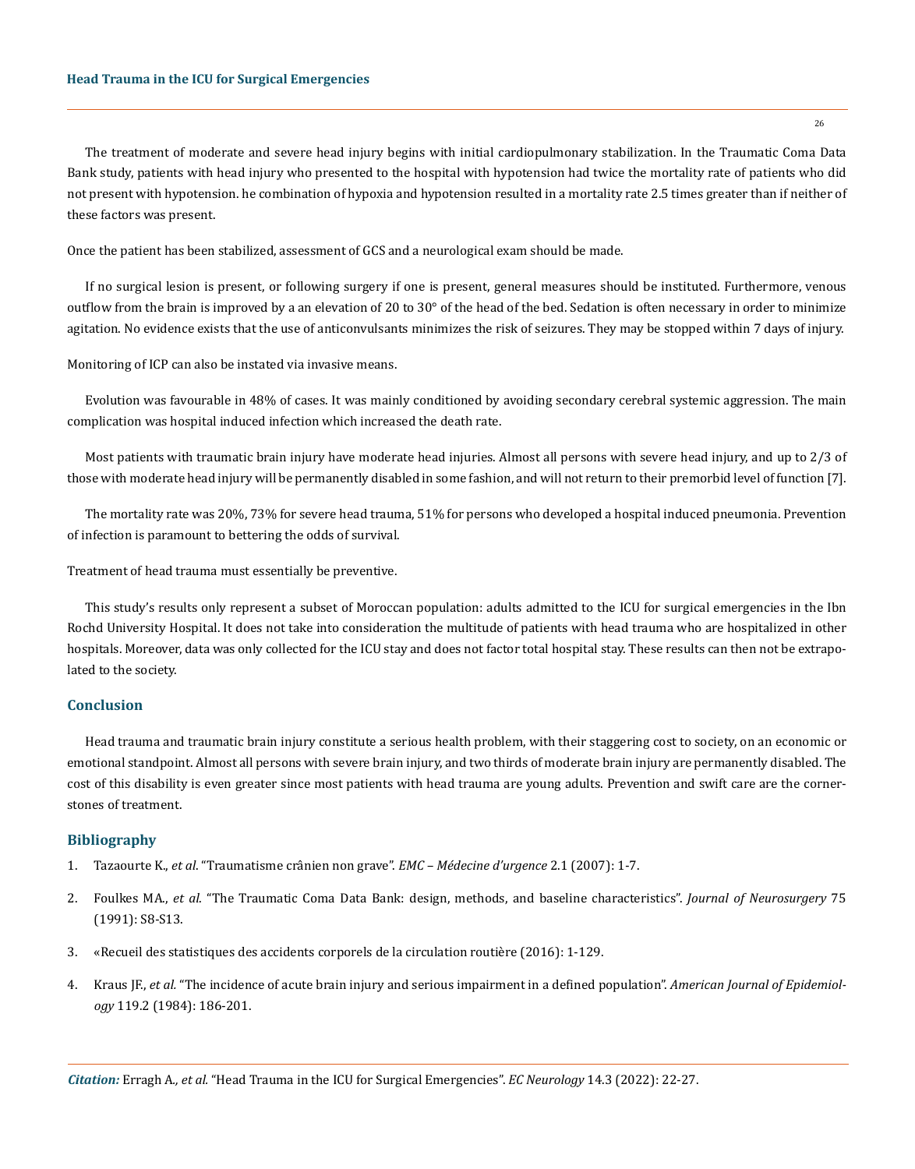The treatment of moderate and severe head injury begins with initial cardiopulmonary stabilization. In the Traumatic Coma Data Bank study, patients with head injury who presented to the hospital with hypotension had twice the mortality rate of patients who did not present with hypotension. he combination of hypoxia and hypotension resulted in a mortality rate 2.5 times greater than if neither of these factors was present.

Once the patient has been stabilized, assessment of GCS and a neurological exam should be made.

If no surgical lesion is present, or following surgery if one is present, general measures should be instituted. Furthermore, venous outflow from the brain is improved by a an elevation of 20 to 30° of the head of the bed. Sedation is often necessary in order to minimize agitation. No evidence exists that the use of anticonvulsants minimizes the risk of seizures. They may be stopped within 7 days of injury.

Monitoring of ICP can also be instated via invasive means.

Evolution was favourable in 48% of cases. It was mainly conditioned by avoiding secondary cerebral systemic aggression. The main complication was hospital induced infection which increased the death rate.

Most patients with traumatic brain injury have moderate head injuries. Almost all persons with severe head injury, and up to 2/3 of those with moderate head injury will be permanently disabled in some fashion, and will not return to their premorbid level of function [7].

The mortality rate was 20%, 73% for severe head trauma, 51% for persons who developed a hospital induced pneumonia. Prevention of infection is paramount to bettering the odds of survival.

Treatment of head trauma must essentially be preventive.

This study's results only represent a subset of Moroccan population: adults admitted to the ICU for surgical emergencies in the Ibn Rochd University Hospital. It does not take into consideration the multitude of patients with head trauma who are hospitalized in other hospitals. Moreover, data was only collected for the ICU stay and does not factor total hospital stay. These results can then not be extrapolated to the society.

## **Conclusion**

Head trauma and traumatic brain injury constitute a serious health problem, with their staggering cost to society, on an economic or emotional standpoint. Almost all persons with severe brain injury, and two thirds of moderate brain injury are permanently disabled. The cost of this disability is even greater since most patients with head trauma are young adults. Prevention and swift care are the cornerstones of treatment.

## **Bibliography**

- 1. Tazaourte K., *et al*[. "Traumatisme crânien non grave".](https://www.em-consulte.com/article/61647/traumatisme-cranien-non-grave) *EMC Médecine d'urgence* 2.1 (2007): 1-7.
- 2. Foulkes MA., *et al*[. "The Traumatic Coma Data Bank: design, methods, and baseline characteristics".](https://thejns.org/view/journals/j-neurosurg/75/Supplement/article-pS8.xml) *Journal of Neurosurgery* 75 [\(1991\): S8-S13.](https://thejns.org/view/journals/j-neurosurg/75/Supplement/article-pS8.xml)
- 3. «Recueil des statistiques des accidents corporels de la circulation routière (2016): 1-129.
- 4. Kraus JF., *et al.* ["The incidence of acute brain injury and serious impairment in a defined population".](https://www.meta.org/papers/the-incidence-of-acute-brain-injury-and-serious/6695898) *American Journal of Epidemiology* [119.2 \(1984\): 186-201.](https://www.meta.org/papers/the-incidence-of-acute-brain-injury-and-serious/6695898)

26